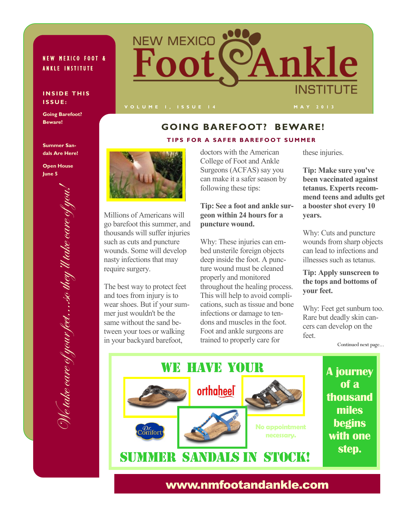## NEW MEXICO FOOT & **ANKLE INSTITUTE**

#### **INSIDE THIS I S S U E :**

**Going Barefoot? Beware!**



# **GOING BAREFOOT? BEWARE!**

#### **TIPS FOR A SAFER BAREFOOT SUMMER**

**Summer Sandals Are Here!**

**Open House June 5**





Millions of Americans will go barefoot this summer, and thousands will suffer injuries such as cuts and puncture wounds. Some will develop nasty infections that may require surgery.

The best way to protect feet and toes from injury is to wear shoes. But if your summer just wouldn't be the same without the sand between your toes or walking in your backyard barefoot,

doctors with the American College of Foot and Ankle Surgeons (ACFAS) say you can make it a safer season by following these tips:

#### **Tip: See a foot and ankle surgeon within 24 hours for a puncture wound.**

Why: These injuries can embed unsterile foreign objects deep inside the foot. A puncture wound must be cleaned properly and monitored throughout the healing process. This will help to avoid complications, such as tissue and bone infections or damage to tendons and muscles in the foot. Foot and ankle surgeons are trained to properly care for

these injuries.

**Tip: Make sure you've been vaccinated against tetanus. Experts recommend teens and adults get a booster shot every 10 years.**

Why: Cuts and puncture wounds from sharp objects can lead to infections and illnesses such as tetanus.

### **Tip: Apply sunscreen to the tops and bottoms of your feet.**

Why: Feet get sunburn too. Rare but deadly skin cancers can develop on the feet.

Continued next page...



# www.nmfootandankle.com